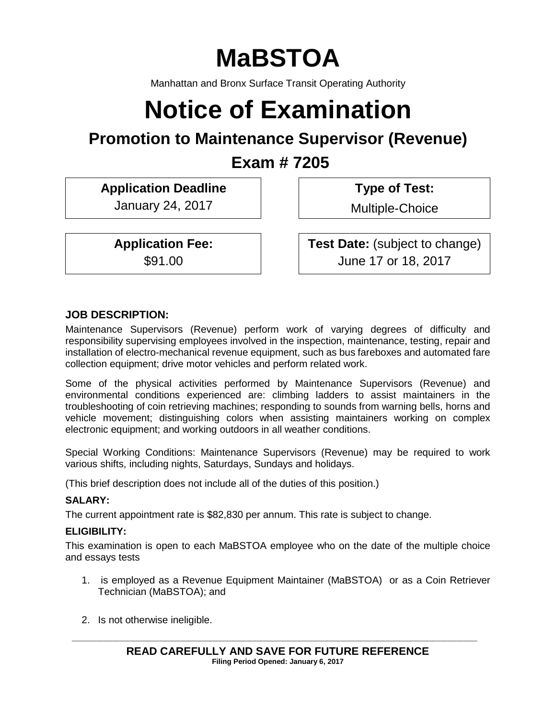# **MaBSTOA**

Manhattan and Bronx Surface Transit Operating Authority

# **Notice of Examination**

# **Promotion to Maintenance Supervisor (Revenue)**

**Exam # 7205**

**Application Deadline Type of Test:** 

January 24, 2017 | Multiple-Choice

**Application Fee: Test Date:** (subject to change) \$91.00 June 17 or 18, 2017

# **JOB DESCRIPTION:**

Maintenance Supervisors (Revenue) perform work of varying degrees of difficulty and responsibility supervising employees involved in the inspection, maintenance, testing, repair and installation of electro-mechanical revenue equipment, such as bus fareboxes and automated fare collection equipment; drive motor vehicles and perform related work.

Some of the physical activities performed by Maintenance Supervisors (Revenue) and environmental conditions experienced are: climbing ladders to assist maintainers in the troubleshooting of coin retrieving machines; responding to sounds from warning bells, horns and vehicle movement; distinguishing colors when assisting maintainers working on complex electronic equipment; and working outdoors in all weather conditions.

Special Working Conditions: Maintenance Supervisors (Revenue) may be required to work various shifts, including nights, Saturdays, Sundays and holidays.

(This brief description does not include all of the duties of this position.)

### **SALARY:**

The current appointment rate is \$82,830 per annum. This rate is subject to change.

### **ELIGIBILITY:**

This examination is open to each MaBSTOA employee who on the date of the multiple choice and essays tests

- 1. is employed as a Revenue Equipment Maintainer (MaBSTOA) or as a Coin Retriever Technician (MaBSTOA); and
- 2. Is not otherwise ineligible.

**\_\_\_\_\_\_\_\_\_\_\_\_\_\_\_\_\_\_\_\_\_\_\_\_\_\_\_\_\_\_\_\_\_\_\_\_\_\_\_\_\_\_\_\_\_\_\_\_\_\_\_\_\_\_\_\_\_\_\_\_\_\_\_\_\_\_\_\_\_\_\_\_\_**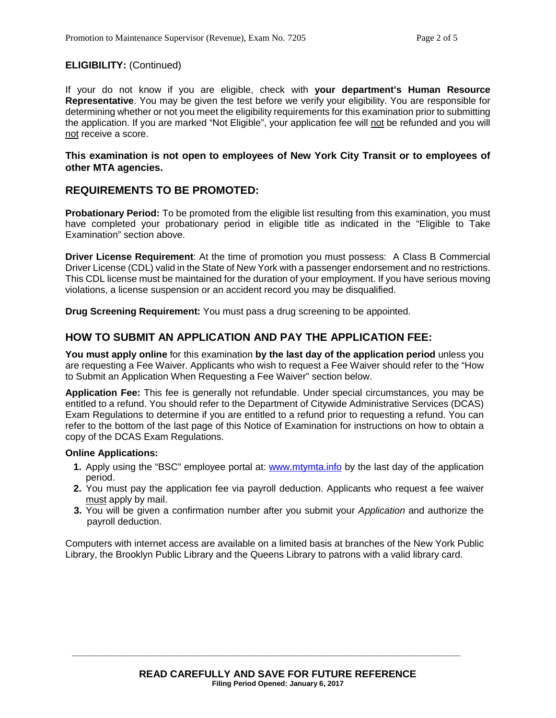#### **ELIGIBILITY:** (Continued)

If your do not know if you are eligible, check with **your department's Human Resource Representative**. You may be given the test before we verify your eligibility. You are responsible for determining whether or not you meet the eligibility requirements for this examination prior to submitting the application. If you are marked "Not Eligible", your application fee will not be refunded and you will not receive a score.

#### **This examination is not open to employees of New York City Transit or to employees of other MTA agencies.**

#### **REQUIREMENTS TO BE PROMOTED:**

**Probationary Period:** To be promoted from the eligible list resulting from this examination, you must have completed your probationary period in eligible title as indicated in the "Eligible to Take Examination" section above.

**Driver License Requirement**: At the time of promotion you must possess: A Class B Commercial Driver License (CDL) valid in the State of New York with a passenger endorsement and no restrictions. This CDL license must be maintained for the duration of your employment. If you have serious moving violations, a license suspension or an accident record you may be disqualified.

**Drug Screening Requirement:** You must pass a drug screening to be appointed.

#### **HOW TO SUBMIT AN APPLICATION AND PAY THE APPLICATION FEE:**

**You must apply online** for this examination **by the last day of the application period** unless you are requesting a Fee Waiver. Applicants who wish to request a Fee Waiver should refer to the "How to Submit an Application When Requesting a Fee Waiver" section below.

**Application Fee:** This fee is generally not refundable. Under special circumstances, you may be entitled to a refund. You should refer to the Department of Citywide Administrative Services (DCAS) Exam Regulations to determine if you are entitled to a refund prior to requesting a refund. You can refer to the bottom of the last page of this Notice of Examination for instructions on how to obtain a copy of the DCAS Exam Regulations.

#### **Online Applications:**

- **1.** Apply using the "BSC" employee portal at: [www.mtymta.info](http://www.mtymta.info/) by the last day of the application period.
- **2.** You must pay the application fee via payroll deduction. Applicants who request a fee waiver must apply by mail.
- **3.** You will be given a confirmation number after you submit your *Application* and authorize the payroll deduction.

Computers with internet access are available on a limited basis at branches of the New York Public Library, the Brooklyn Public Library and the Queens Library to patrons with a valid library card.

**\_\_\_\_\_\_\_\_\_\_\_\_\_\_\_\_\_\_\_\_\_\_\_\_\_\_\_\_\_\_\_\_\_\_\_\_\_\_\_\_\_\_\_\_\_\_\_\_\_\_\_\_\_\_\_\_\_\_\_\_\_\_\_\_\_\_\_\_\_\_**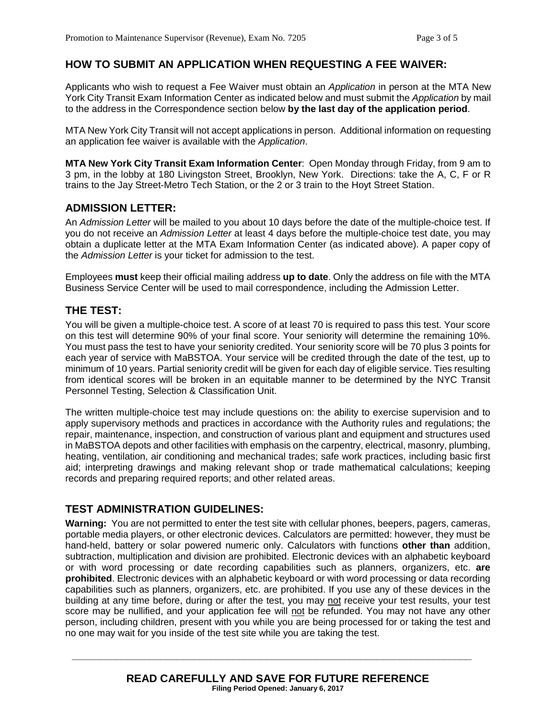### **HOW TO SUBMIT AN APPLICATION WHEN REQUESTING A FEE WAIVER:**

Applicants who wish to request a Fee Waiver must obtain an *Application* in person at the MTA New York City Transit Exam Information Center as indicated below and must submit the *Application* by mail to the address in the Correspondence section below **by the last day of the application period**.

MTA New York City Transit will not accept applications in person. Additional information on requesting an application fee waiver is available with the *Application*.

**MTA New York City Transit Exam Information Center**: Open Monday through Friday, from 9 am to 3 pm, in the lobby at 180 Livingston Street, Brooklyn, New York. Directions: take the A, C, F or R trains to the Jay Street-Metro Tech Station, or the 2 or 3 train to the Hoyt Street Station.

#### **ADMISSION LETTER:**

An *Admission Letter* will be mailed to you about 10 days before the date of the multiple-choice test. If you do not receive an *Admission Letter* at least 4 days before the multiple-choice test date, you may obtain a duplicate letter at the MTA Exam Information Center (as indicated above). A paper copy of the *Admission Letter* is your ticket for admission to the test.

Employees **must** keep their official mailing address **up to date**. Only the address on file with the MTA Business Service Center will be used to mail correspondence, including the Admission Letter.

#### **THE TEST:**

You will be given a multiple-choice test. A score of at least 70 is required to pass this test. Your score on this test will determine 90% of your final score. Your seniority will determine the remaining 10%. You must pass the test to have your seniority credited. Your seniority score will be 70 plus 3 points for each year of service with MaBSTOA. Your service will be credited through the date of the test, up to minimum of 10 years. Partial seniority credit will be given for each day of eligible service. Ties resulting from identical scores will be broken in an equitable manner to be determined by the NYC Transit Personnel Testing, Selection & Classification Unit.

The written multiple-choice test may include questions on: the ability to exercise supervision and to apply supervisory methods and practices in accordance with the Authority rules and regulations; the repair, maintenance, inspection, and construction of various plant and equipment and structures used in MaBSTOA depots and other facilities with emphasis on the carpentry, electrical, masonry, plumbing, heating, ventilation, air conditioning and mechanical trades; safe work practices, including basic first aid; interpreting drawings and making relevant shop or trade mathematical calculations; keeping records and preparing required reports; and other related areas.

#### **TEST ADMINISTRATION GUIDELINES:**

**Warning:** You are not permitted to enter the test site with cellular phones, beepers, pagers, cameras, portable media players, or other electronic devices. Calculators are permitted: however, they must be hand-held, battery or solar powered numeric only. Calculators with functions **other than** addition, subtraction, multiplication and division are prohibited. Electronic devices with an alphabetic keyboard or with word processing or date recording capabilities such as planners, organizers, etc. **are prohibited**. Electronic devices with an alphabetic keyboard or with word processing or data recording capabilities such as planners, organizers, etc. are prohibited. If you use any of these devices in the building at any time before, during or after the test, you may not receive your test results, your test score may be nullified, and your application fee will not be refunded. You may not have any other person, including children, present with you while you are being processed for or taking the test and no one may wait for you inside of the test site while you are taking the test.

**\_\_\_\_\_\_\_\_\_\_\_\_\_\_\_\_\_\_\_\_\_\_\_\_\_\_\_\_\_\_\_\_\_\_\_\_\_\_\_\_\_\_\_\_\_\_\_\_\_\_\_\_\_\_\_\_\_\_\_\_\_\_\_\_\_\_\_\_\_\_\_\_**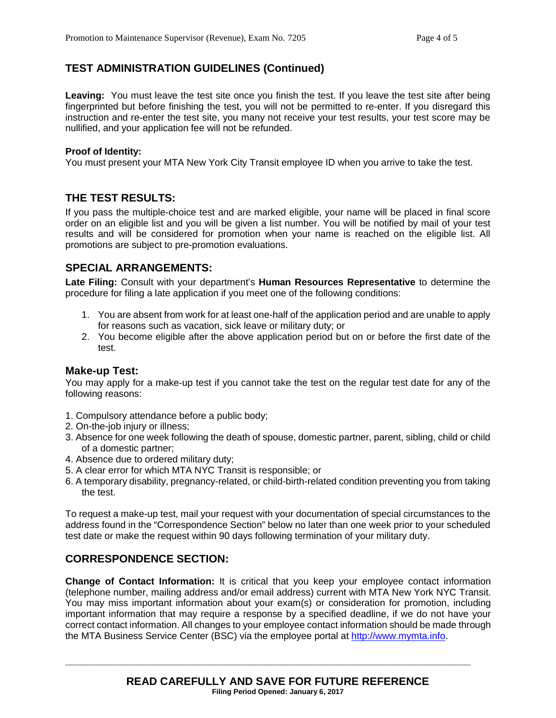# **TEST ADMINISTRATION GUIDELINES (Continued)**

Leaving: You must leave the test site once you finish the test. If you leave the test site after being fingerprinted but before finishing the test, you will not be permitted to re-enter. If you disregard this instruction and re-enter the test site, you many not receive your test results, your test score may be nullified, and your application fee will not be refunded.

#### **Proof of Identity:**

You must present your MTA New York City Transit employee ID when you arrive to take the test.

#### **THE TEST RESULTS:**

If you pass the multiple-choice test and are marked eligible, your name will be placed in final score order on an eligible list and you will be given a list number. You will be notified by mail of your test results and will be considered for promotion when your name is reached on the eligible list. All promotions are subject to pre-promotion evaluations.

#### **SPECIAL ARRANGEMENTS:**

**Late Filing:** Consult with your department's **Human Resources Representative** to determine the procedure for filing a late application if you meet one of the following conditions:

- 1. You are absent from work for at least one-half of the application period and are unable to apply for reasons such as vacation, sick leave or military duty; or
- 2. You become eligible after the above application period but on or before the first date of the test.

#### **Make-up Test:**

You may apply for a make-up test if you cannot take the test on the regular test date for any of the following reasons:

- 1. Compulsory attendance before a public body;
- 2. On-the-job injury or illness;
- 3. Absence for one week following the death of spouse, domestic partner, parent, sibling, child or child of a domestic partner;
- 4. Absence due to ordered military duty;
- 5. A clear error for which MTA NYC Transit is responsible; or
- 6. A temporary disability, pregnancy-related, or child-birth-related condition preventing you from taking the test.

To request a make-up test, mail your request with your documentation of special circumstances to the address found in the "Correspondence Section" below no later than one week prior to your scheduled test date or make the request within 90 days following termination of your military duty.

### **CORRESPONDENCE SECTION:**

**Change of Contact Information:** It is critical that you keep your employee contact information (telephone number, mailing address and/or email address) current with MTA New York NYC Transit. You may miss important information about your exam(s) or consideration for promotion, including important information that may require a response by a specified deadline, if we do not have your correct contact information. All changes to your employee contact information should be made through the MTA Business Service Center (BSC) via the employee portal at [http://www.mymta.info.](http://www.mymta.info/)

**\_\_\_\_\_\_\_\_\_\_\_\_\_\_\_\_\_\_\_\_\_\_\_\_\_\_\_\_\_\_\_\_\_\_\_\_\_\_\_\_\_\_\_\_\_\_\_\_\_\_\_\_\_\_\_\_\_\_\_\_\_\_\_\_\_\_\_\_\_\_\_\_\_**